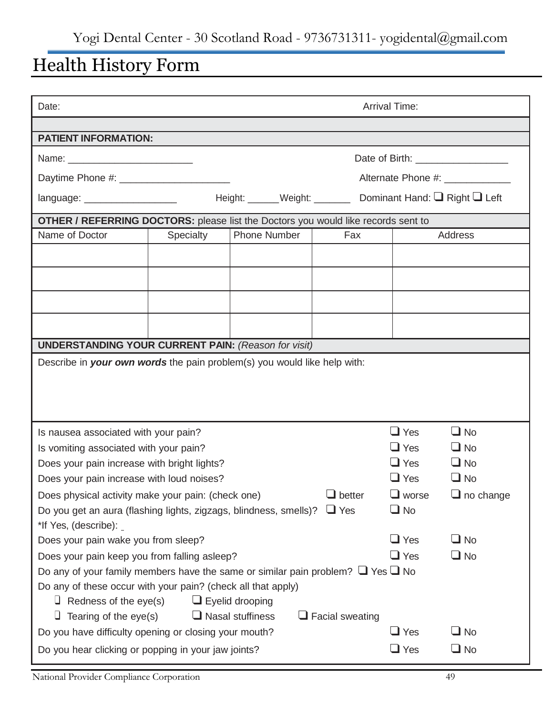# Health History Form

| <b>Arrival Time:</b><br>Date:                                                                                                                                        |           |                         |                                                              |                                   |                  |  |
|----------------------------------------------------------------------------------------------------------------------------------------------------------------------|-----------|-------------------------|--------------------------------------------------------------|-----------------------------------|------------------|--|
|                                                                                                                                                                      |           |                         |                                                              |                                   |                  |  |
| <b>PATIENT INFORMATION:</b>                                                                                                                                          |           |                         |                                                              |                                   |                  |  |
| Name: ______________________________                                                                                                                                 |           |                         |                                                              | Date of Birth: __________________ |                  |  |
| Daytime Phone #: _________________________                                                                                                                           |           |                         |                                                              | Alternate Phone #: ______________ |                  |  |
| language: ____________________                                                                                                                                       |           |                         | Height: ______Weight: ________ Dominant Hand: Q Right Q Left |                                   |                  |  |
| <b>OTHER / REFERRING DOCTORS:</b> please list the Doctors you would like records sent to                                                                             |           |                         |                                                              |                                   |                  |  |
| Name of Doctor                                                                                                                                                       | Specialty | Phone Number            | Fax                                                          |                                   | Address          |  |
|                                                                                                                                                                      |           |                         |                                                              |                                   |                  |  |
|                                                                                                                                                                      |           |                         |                                                              |                                   |                  |  |
|                                                                                                                                                                      |           |                         |                                                              |                                   |                  |  |
|                                                                                                                                                                      |           |                         |                                                              |                                   |                  |  |
|                                                                                                                                                                      |           |                         |                                                              |                                   |                  |  |
| <b>UNDERSTANDING YOUR CURRENT PAIN: (Reason for visit)</b>                                                                                                           |           |                         |                                                              |                                   |                  |  |
| Describe in your own words the pain problem(s) you would like help with:                                                                                             |           |                         |                                                              |                                   |                  |  |
|                                                                                                                                                                      |           |                         |                                                              |                                   |                  |  |
|                                                                                                                                                                      |           |                         |                                                              |                                   |                  |  |
|                                                                                                                                                                      |           |                         |                                                              |                                   |                  |  |
| Is nausea associated with your pain?                                                                                                                                 |           |                         |                                                              | $\Box$ Yes                        | $\Box$ No        |  |
| Is vomiting associated with your pain?                                                                                                                               |           |                         |                                                              | $\Box$ Yes                        | $\Box$ No        |  |
| Does your pain increase with bright lights?                                                                                                                          |           |                         |                                                              | $\Box$ Yes                        | $\Box$ No        |  |
| Does your pain increase with loud noises?                                                                                                                            |           |                         |                                                              | $\Box$ Yes                        | $\Box$ No        |  |
| Does physical activity make your pain: (check one)                                                                                                                   |           |                         | $\Box$ better                                                | $\Box$ worse                      | $\Box$ no change |  |
| Do you get an aura (flashing lights, zigzags, blindness, smells)? $\Box$ Yes                                                                                         |           |                         |                                                              | $\Box$ No                         |                  |  |
| *If Yes, (describe): _                                                                                                                                               |           |                         |                                                              |                                   |                  |  |
| Does your pain wake you from sleep?                                                                                                                                  |           |                         |                                                              | $\Box$ Yes                        | $\Box$ No        |  |
| $\Box$ Yes<br>$\Box$ No<br>Does your pain keep you from falling asleep?<br>Do any of your family members have the same or similar pain problem? $\Box$ Yes $\Box$ No |           |                         |                                                              |                                   |                  |  |
|                                                                                                                                                                      |           |                         |                                                              |                                   |                  |  |
| Do any of these occur with your pain? (check all that apply)<br>Redness of the eye(s)<br>u                                                                           |           | $\Box$ Eyelid drooping  |                                                              |                                   |                  |  |
| $\Box$ Tearing of the eye(s)                                                                                                                                         |           | $\Box$ Nasal stuffiness | $\Box$ Facial sweating                                       |                                   |                  |  |
| Do you have difficulty opening or closing your mouth?                                                                                                                |           |                         |                                                              | $\Box$ Yes                        | $\Box$ No        |  |
| Do you hear clicking or popping in your jaw joints?                                                                                                                  |           |                         |                                                              | $\Box$ Yes                        | $\Box$ No        |  |
|                                                                                                                                                                      |           |                         |                                                              |                                   |                  |  |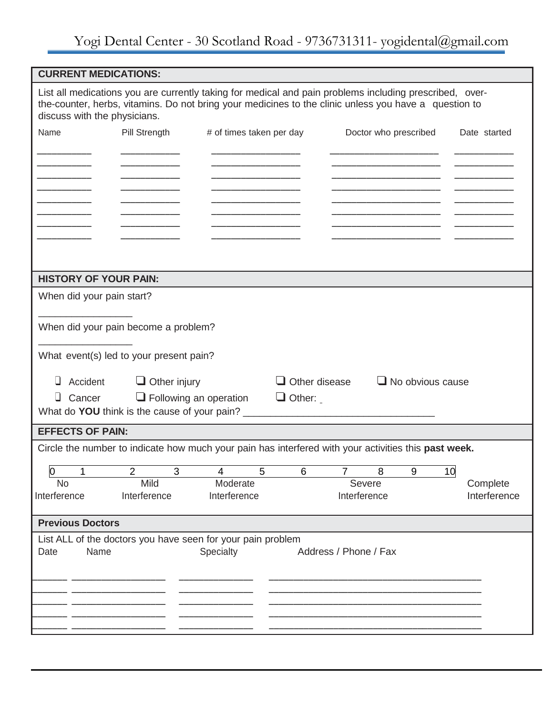## Yogi Dental Center - 30 Scotland Road - 9736731311- yogidental@gmail.com

| <b>CURRENT MEDICATIONS:</b>                                                                                                                                                                                                                      |                         |                          |  |  |  |  |
|--------------------------------------------------------------------------------------------------------------------------------------------------------------------------------------------------------------------------------------------------|-------------------------|--------------------------|--|--|--|--|
| List all medications you are currently taking for medical and pain problems including prescribed, over-<br>the-counter, herbs, vitamins. Do not bring your medicines to the clinic unless you have a question to<br>discuss with the physicians. |                         |                          |  |  |  |  |
| Name<br>Pill Strength<br># of times taken per day                                                                                                                                                                                                | Doctor who prescribed   | Date started             |  |  |  |  |
|                                                                                                                                                                                                                                                  |                         |                          |  |  |  |  |
|                                                                                                                                                                                                                                                  |                         |                          |  |  |  |  |
|                                                                                                                                                                                                                                                  |                         |                          |  |  |  |  |
|                                                                                                                                                                                                                                                  |                         |                          |  |  |  |  |
|                                                                                                                                                                                                                                                  |                         |                          |  |  |  |  |
|                                                                                                                                                                                                                                                  |                         |                          |  |  |  |  |
|                                                                                                                                                                                                                                                  |                         |                          |  |  |  |  |
| <b>HISTORY OF YOUR PAIN:</b>                                                                                                                                                                                                                     |                         |                          |  |  |  |  |
| When did your pain start?                                                                                                                                                                                                                        |                         |                          |  |  |  |  |
| When did your pain become a problem?                                                                                                                                                                                                             |                         |                          |  |  |  |  |
| What event(s) led to your present pain?                                                                                                                                                                                                          |                         |                          |  |  |  |  |
| $\Box$ Other disease<br>⊔<br>Accident $\Box$ Other injury                                                                                                                                                                                        | $\Box$ No obvious cause |                          |  |  |  |  |
| Cancer<br>$\Box$ Following an operation<br>$\Box$ Other:<br>u.                                                                                                                                                                                   |                         |                          |  |  |  |  |
| What do YOU think is the cause of your pain?                                                                                                                                                                                                     |                         |                          |  |  |  |  |
| <b>EFFECTS OF PAIN:</b>                                                                                                                                                                                                                          |                         |                          |  |  |  |  |
| Circle the number to indicate how much your pain has interfered with your activities this past week.                                                                                                                                             |                         |                          |  |  |  |  |
| 2<br>3<br>Ю<br>5<br>6<br>4                                                                                                                                                                                                                       | 8<br>9<br>10<br>7       |                          |  |  |  |  |
| Mild<br>Moderate<br>No<br>Interference<br>Interference<br>Interference                                                                                                                                                                           | Severe<br>Interference  | Complete<br>Interference |  |  |  |  |
| <b>Previous Doctors</b>                                                                                                                                                                                                                          |                         |                          |  |  |  |  |
| List ALL of the doctors you have seen for your pain problem                                                                                                                                                                                      |                         |                          |  |  |  |  |
| Name<br>Specialty<br>Date                                                                                                                                                                                                                        | Address / Phone / Fax   |                          |  |  |  |  |
|                                                                                                                                                                                                                                                  |                         |                          |  |  |  |  |
|                                                                                                                                                                                                                                                  |                         |                          |  |  |  |  |
|                                                                                                                                                                                                                                                  |                         |                          |  |  |  |  |
|                                                                                                                                                                                                                                                  |                         |                          |  |  |  |  |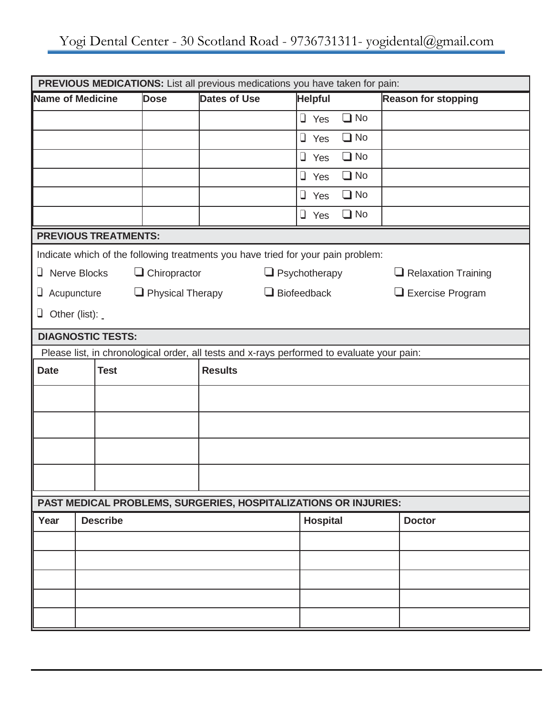| PREVIOUS MEDICATIONS: List all previous medications you have taken for pain: |                                                                                            |                     |                                                                                  |                      |           |                            |  |  |
|------------------------------------------------------------------------------|--------------------------------------------------------------------------------------------|---------------------|----------------------------------------------------------------------------------|----------------------|-----------|----------------------------|--|--|
| Name of Medicine                                                             |                                                                                            | <b>Dose</b>         | <b>Dates of Use</b>                                                              | <b>Helpful</b>       |           | <b>Reason for stopping</b> |  |  |
|                                                                              |                                                                                            |                     |                                                                                  | $\Box$ Yes           | $\Box$ No |                            |  |  |
|                                                                              |                                                                                            |                     |                                                                                  | $\Box$ Yes           | $\Box$ No |                            |  |  |
|                                                                              |                                                                                            |                     |                                                                                  | $\Box$ Yes           | $\Box$ No |                            |  |  |
|                                                                              |                                                                                            |                     | $\Box$ Yes                                                                       |                      | $\Box$ No |                            |  |  |
|                                                                              |                                                                                            |                     | $\Box$ No<br>$\Box$ Yes                                                          |                      |           |                            |  |  |
|                                                                              |                                                                                            |                     |                                                                                  | $\Box$ Yes           | $\Box$ No |                            |  |  |
|                                                                              | <b>PREVIOUS TREATMENTS:</b>                                                                |                     |                                                                                  |                      |           |                            |  |  |
|                                                                              |                                                                                            |                     | Indicate which of the following treatments you have tried for your pain problem: |                      |           |                            |  |  |
| U.                                                                           | <b>Nerve Blocks</b>                                                                        | $\Box$ Chiropractor |                                                                                  | $\Box$ Psychotherapy |           | $\Box$ Relaxation Training |  |  |
| $\Box$ Physical Therapy<br>Acupuncture<br>U.                                 |                                                                                            |                     |                                                                                  | $\Box$ Biofeedback   |           | $\Box$ Exercise Program    |  |  |
|                                                                              | $\Box$ Other (list):                                                                       |                     |                                                                                  |                      |           |                            |  |  |
| <b>DIAGNOSTIC TESTS:</b>                                                     |                                                                                            |                     |                                                                                  |                      |           |                            |  |  |
|                                                                              | Please list, in chronological order, all tests and x-rays performed to evaluate your pain: |                     |                                                                                  |                      |           |                            |  |  |
| <b>Date</b>                                                                  | <b>Test</b>                                                                                |                     | <b>Results</b>                                                                   |                      |           |                            |  |  |
|                                                                              |                                                                                            |                     |                                                                                  |                      |           |                            |  |  |
|                                                                              |                                                                                            |                     |                                                                                  |                      |           |                            |  |  |
|                                                                              |                                                                                            |                     |                                                                                  |                      |           |                            |  |  |
|                                                                              |                                                                                            |                     |                                                                                  |                      |           |                            |  |  |
|                                                                              |                                                                                            |                     | PAST MEDICAL PROBLEMS, SURGERIES, HOSPITALIZATIONS OR INJURIES:                  |                      |           |                            |  |  |
| Year                                                                         | <b>Describe</b>                                                                            |                     |                                                                                  | <b>Hospital</b>      |           | <b>Doctor</b>              |  |  |
|                                                                              |                                                                                            |                     |                                                                                  |                      |           |                            |  |  |
|                                                                              |                                                                                            |                     |                                                                                  |                      |           |                            |  |  |
|                                                                              |                                                                                            |                     |                                                                                  |                      |           |                            |  |  |
|                                                                              |                                                                                            |                     |                                                                                  |                      |           |                            |  |  |
|                                                                              |                                                                                            |                     |                                                                                  |                      |           |                            |  |  |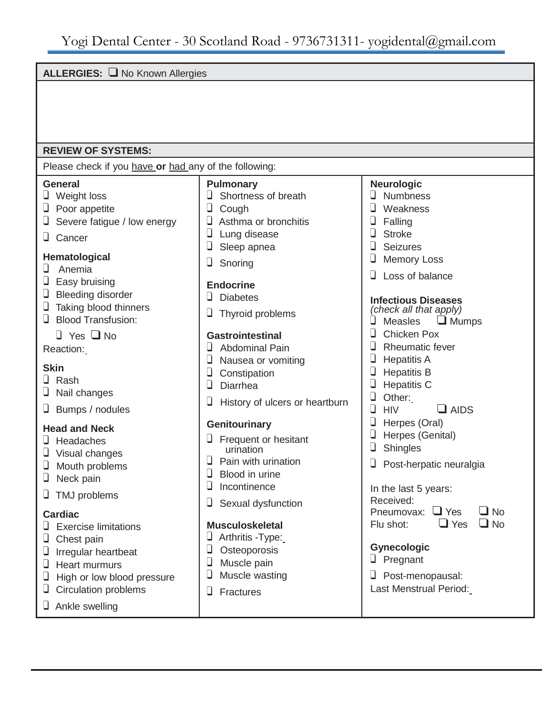#### **ALLERGIES:** ❑ No Known Allergies

#### **REVIEW OF SYSTEMS:**

Please check if you have **or** had any of the following:

#### **General**

- ❑ Weight loss
- ❑ Poor appetite
- ❑ Severe fatigue / low energy
- ❑ Cancer

#### **Hematological**

- ❑ Anemia
- ❑ Easy bruising
- ❑ Bleeding disorder
- ❑ Taking blood thinners
- ❑ Blood Transfusion:
	- ❑ Yes ❑ No
- Reaction:

#### **Skin**

- ❑ Rash
- ❑ Nail changes
- ❑ Bumps / nodules

#### **Head and Neck**

- ❑ Headaches
- ❑ Visual changes
- ❑ Mouth problems
- ❑ Neck pain
- ❑ TMJ problems

#### **Cardiac**

- ❑ Exercise limitations
- ❑ Chest pain
- □ Irregular heartbeat
- ❑ Heart murmurs
- ❑ High or low blood pressure
- □ Circulation problems
- ❑ Ankle swelling
- **Pulmonary**
- ❑ Shortness of breath
- ❑ Cough
- □ Asthma or bronchitis
- ❑ Lung disease
- ❑ Sleep apnea
- ❑ Snoring

#### **Endocrine**

- ❑ Diabetes
- ❑ Thyroid problems

#### **Gastrointestinal**

- ❑ Abdominal Pain
- ❑ Nausea or vomiting
- ❑ Constipation
- ❑ Diarrhea
- ❑ History of ulcers or heartburn

#### **Genitourinary**

- □ Frequent or hesitant urination
- □ Pain with urination
- ❑ Blood in urine
- ❑ Incontinence
- ❑ Sexual dysfunction

#### **Musculoskeletal**

- ❑ Arthritis -Type:
- ❑ Osteoporosis
- ❑ Muscle pain
- ❑ Muscle wasting
- ❑ Fractures

### **Neurologic**

- ❑ Numbness
- ❑ Weakness
- ❑ Falling
- ❑ Stroke
- ❑ Seizures
- ❑ Memory Loss
- ❑ Loss of balance

#### **Infectious Diseases**

*(check all that apply)* ❑ Measles ❑ Mumps ❑ Chicken Pox □ Rheumatic fever □ Hepatitis A ❑ Hepatitis B ❑ Hepatitis C ❑ Other:  $\Box$  HIV  $\Box$  AIDS ❑ Herpes (Oral) ❑ Herpes (Genital) ❑ Shingles □ Post-herpatic neuralgia In the last 5 years: Received: Pneumovax: ❑ Yes ❑ No Flu shot: ❑ Yes ❑ No **Gynecologic** ❑ Pregnant ❑ Post-menopausal: Last Menstrual Period: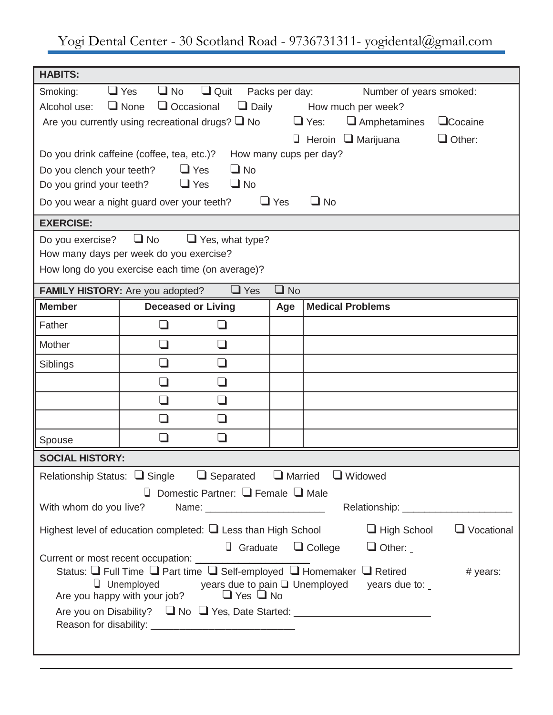Yogi Dental Center - 30 Scotland Road - 9736731311- yogidental@gmail.com

| <b>HABITS:</b>                                                                                         |                                                                                                                                                         |                                |                |           |                                                                                       |               |  |  |
|--------------------------------------------------------------------------------------------------------|---------------------------------------------------------------------------------------------------------------------------------------------------------|--------------------------------|----------------|-----------|---------------------------------------------------------------------------------------|---------------|--|--|
| Smoking:                                                                                               | $\Box$ No<br>$\Box$ Yes                                                                                                                                 | $\Box$ Quit                    | Packs per day: |           | Number of years smoked:                                                               |               |  |  |
| Alcohol use:                                                                                           | $\Box$ Occasional<br>$\Box$ None<br>$\Box$ Daily<br>How much per week?                                                                                  |                                |                |           |                                                                                       |               |  |  |
|                                                                                                        | Are you currently using recreational drugs? $\Box$ No<br>$\Box$ Yes:<br>$\Box$ Amphetamines<br><b>L</b> Cocaine                                         |                                |                |           |                                                                                       |               |  |  |
|                                                                                                        |                                                                                                                                                         |                                |                |           | $\Box$ Heroin $\Box$ Marijuana                                                        | $\Box$ Other: |  |  |
|                                                                                                        | Do you drink caffeine (coffee, tea, etc.)?                                                                                                              | How many cups per day?         |                |           |                                                                                       |               |  |  |
| Do you clench your teeth?                                                                              | $\Box$ Yes                                                                                                                                              | $\square$ No                   |                |           |                                                                                       |               |  |  |
| Do you grind your teeth?                                                                               | $\Box$ Yes                                                                                                                                              | $\Box$ No                      |                |           |                                                                                       |               |  |  |
|                                                                                                        | Do you wear a night guard over your teeth?                                                                                                              |                                | $\Box$ Yes     | $\Box$ No |                                                                                       |               |  |  |
| <b>EXERCISE:</b>                                                                                       |                                                                                                                                                         |                                |                |           |                                                                                       |               |  |  |
| Do you exercise?                                                                                       | $\Box$ No                                                                                                                                               | $\Box$ Yes, what type?         |                |           |                                                                                       |               |  |  |
|                                                                                                        | How many days per week do you exercise?                                                                                                                 |                                |                |           |                                                                                       |               |  |  |
|                                                                                                        | How long do you exercise each time (on average)?                                                                                                        |                                |                |           |                                                                                       |               |  |  |
|                                                                                                        | FAMILY HISTORY: Are you adopted?                                                                                                                        | $\Box$ Yes                     | $\Box$ No      |           |                                                                                       |               |  |  |
| <b>Member</b>                                                                                          | <b>Deceased or Living</b>                                                                                                                               |                                | Age            |           | <b>Medical Problems</b>                                                               |               |  |  |
| Father                                                                                                 | $\Box$                                                                                                                                                  | $\mathcal{L}_{\mathcal{A}}$    |                |           |                                                                                       |               |  |  |
| Mother                                                                                                 | $\Box$                                                                                                                                                  | $\Box$                         |                |           |                                                                                       |               |  |  |
| Siblings                                                                                               | $\Box$                                                                                                                                                  | $\Box$                         |                |           |                                                                                       |               |  |  |
|                                                                                                        | $\Box$                                                                                                                                                  | $\Box$                         |                |           |                                                                                       |               |  |  |
|                                                                                                        | $\Box$                                                                                                                                                  | ⊔                              |                |           |                                                                                       |               |  |  |
|                                                                                                        | $\Box$                                                                                                                                                  | $\Box$                         |                |           |                                                                                       |               |  |  |
| Spouse                                                                                                 |                                                                                                                                                         |                                |                |           |                                                                                       |               |  |  |
| <b>SOCIAL HISTORY:</b>                                                                                 |                                                                                                                                                         |                                |                |           |                                                                                       |               |  |  |
|                                                                                                        | Relationship Status: $\Box$ Single $\Box$ Separated $\Box$ Married                                                                                      |                                |                |           | $\Box$ Widowed                                                                        |               |  |  |
| $\Box$ Domestic Partner: $\Box$ Female $\Box$ Male                                                     |                                                                                                                                                         |                                |                |           |                                                                                       |               |  |  |
| With whom do you live?                                                                                 |                                                                                                                                                         |                                |                |           |                                                                                       |               |  |  |
| Vocational<br>Highest level of education completed: $\Box$ Less than High School<br>$\Box$ High School |                                                                                                                                                         |                                |                |           |                                                                                       |               |  |  |
| $\Box$ College<br>$\Box$ Graduate<br>$\Box$ Other:                                                     |                                                                                                                                                         |                                |                |           |                                                                                       |               |  |  |
|                                                                                                        | Current or most recent occupation: __________________<br>Status: $\Box$ Full Time $\Box$ Part time $\Box$ Self-employed $\Box$ Homemaker $\Box$ Retired |                                |                |           |                                                                                       |               |  |  |
|                                                                                                        | $\Box$ Unemployed                                                                                                                                       | years due to pain □ Unemployed |                |           | years due to:                                                                         | # years:      |  |  |
|                                                                                                        | Are you happy with your job?                                                                                                                            | $\Box$ Yes $\Box$ No           |                |           |                                                                                       |               |  |  |
|                                                                                                        |                                                                                                                                                         |                                |                |           | Are you on Disability? $\Box$ No $\Box$ Yes, Date Started: __________________________ |               |  |  |
|                                                                                                        |                                                                                                                                                         |                                |                |           |                                                                                       |               |  |  |
|                                                                                                        |                                                                                                                                                         |                                |                |           |                                                                                       |               |  |  |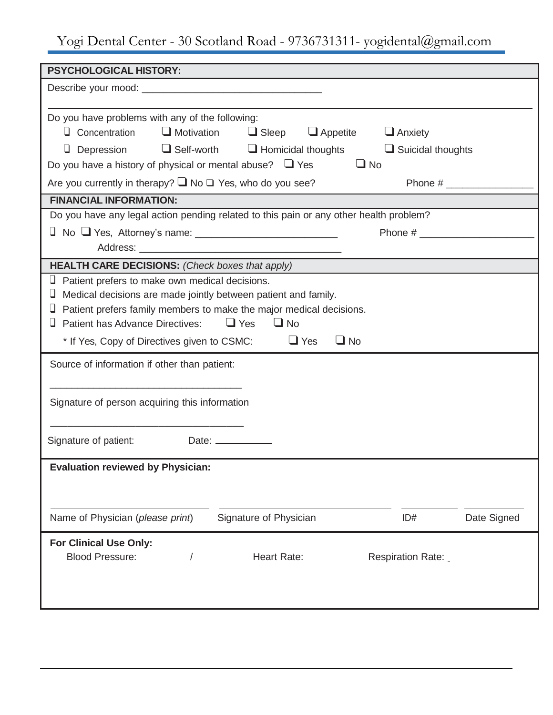## Yogi Dental Center - 30 Scotland Road - 9736731311- yogidental@gmail.com

| <b>PSYCHOLOGICAL HISTORY:</b>                                                                                                                                                                                                                                                                                                                                                                                        |                                                    |                                            |             |
|----------------------------------------------------------------------------------------------------------------------------------------------------------------------------------------------------------------------------------------------------------------------------------------------------------------------------------------------------------------------------------------------------------------------|----------------------------------------------------|--------------------------------------------|-------------|
|                                                                                                                                                                                                                                                                                                                                                                                                                      |                                                    |                                            |             |
| Do you have problems with any of the following:<br>Concentration<br>$\Box$ Depression $\Box$ Self-worth $\Box$ Homicidal thoughts<br>Do you have a history of physical or mental abuse? $\Box$ Yes $\Box$ No<br>Are you currently in therapy? $\square$ No $\square$ Yes, who do you see?<br><b>FINANCIAL INFORMATION:</b><br>Do you have any legal action pending related to this pain or any other health problem? | $\Box$ Motivation $\Box$ Sleep $\Box$ Appetite     | $\Box$ Anxiety<br>$\Box$ Suicidal thoughts |             |
|                                                                                                                                                                                                                                                                                                                                                                                                                      |                                                    |                                            |             |
|                                                                                                                                                                                                                                                                                                                                                                                                                      |                                                    |                                            |             |
| <b>HEALTH CARE DECISIONS: (Check boxes that apply)</b>                                                                                                                                                                                                                                                                                                                                                               |                                                    |                                            |             |
| $\Box$ Patient prefers to make own medical decisions.<br>$\Box$ Medical decisions are made jointly between patient and family.<br>$\Box$ Patient prefers family members to make the major medical decisions.<br><b>Patient has Advance Directives:</b><br>* If Yes, Copy of Directives given to CSMC:                                                                                                                | $\Box$ Yes<br>$\Box$ No<br>$\Box$ Yes<br>$\Box$ No |                                            |             |
| Source of information if other than patient:                                                                                                                                                                                                                                                                                                                                                                         |                                                    |                                            |             |
| Signature of person acquiring this information                                                                                                                                                                                                                                                                                                                                                                       |                                                    |                                            |             |
| Signature of patient:                                                                                                                                                                                                                                                                                                                                                                                                | Date: ____________                                 |                                            |             |
| <b>Evaluation reviewed by Physician:</b>                                                                                                                                                                                                                                                                                                                                                                             |                                                    |                                            |             |
| Name of Physician (please print)                                                                                                                                                                                                                                                                                                                                                                                     | Signature of Physician                             | ID#                                        | Date Signed |
| <b>For Clinical Use Only:</b><br><b>Blood Pressure:</b>                                                                                                                                                                                                                                                                                                                                                              | <b>Heart Rate:</b>                                 | Respiration Rate:                          |             |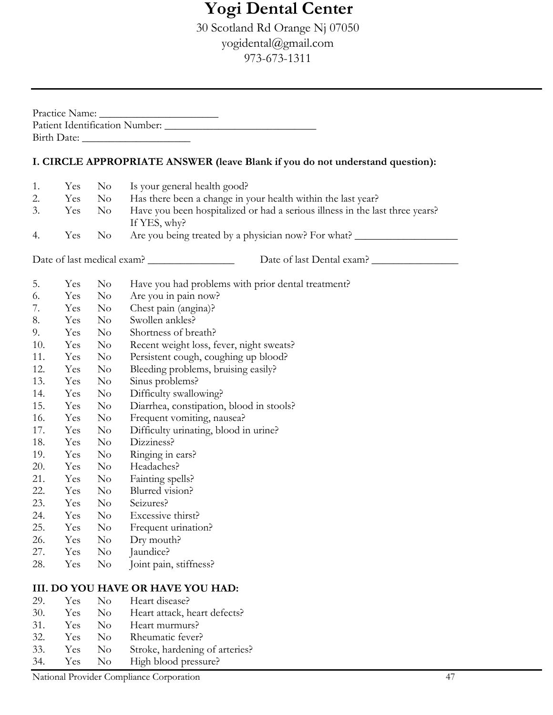## **Yogi Dental Center**

30 Scotland Rd Orange Nj 07050 yogidental@gmail.com 973-673-1311

|     |     |                        | I. CIRCLE APPROPRIATE ANSWER (leave Blank if you do not understand question): |
|-----|-----|------------------------|-------------------------------------------------------------------------------|
| 1.  | Yes | $\rm No$               | Is your general health good?                                                  |
| 2.  | Yes | No 1                   | Has there been a change in your health within the last year?                  |
| 3.  | Yes | $\overline{\text{No}}$ | Have you been hospitalized or had a serious illness in the last three years?  |
|     |     |                        | If YES, why?                                                                  |
| 4.  | Yes | $\rm No$               | Are you being treated by a physician now? For what?                           |
|     |     |                        | Date of last Dental exam?                                                     |
| 5.  | Yes | $\rm No$               | Have you had problems with prior dental treatment?                            |
| 6.  | Yes | $\rm No$               | Are you in pain now?                                                          |
| 7.  | Yes | $\rm No$               | Chest pain (angina)?                                                          |
| 8.  | Yes | $\rm No$               | Swollen ankles?                                                               |
| 9.  | Yes | $\rm No$               | Shortness of breath?                                                          |
| 10. | Yes | $\rm No$               | Recent weight loss, fever, night sweats?                                      |
| 11. | Yes | $\rm No$               | Persistent cough, coughing up blood?                                          |
| 12. | Yes | N <sub>o</sub>         | Bleeding problems, bruising easily?                                           |
| 13. | Yes | $\rm No$               | Sinus problems?                                                               |
| 14. | Yes | $\rm No$               | Difficulty swallowing?                                                        |
| 15. | Yes | $\rm No$               | Diarrhea, constipation, blood in stools?                                      |
| 16. | Yes | $\rm No$               | Frequent vomiting, nausea?                                                    |
| 17. | Yes | $\rm No$               | Difficulty urinating, blood in urine?                                         |
| 18. | Yes | $\rm No$               | Dizziness?                                                                    |
| 19. | Yes | $\rm No$               | Ringing in ears?                                                              |
| 20. | Yes | $\rm No$               | Headaches?                                                                    |
| 21. | Yes | $\rm No$               | Fainting spells?                                                              |
| 22. | Yes | $\rm No$               | Blurred vision?                                                               |
| 23. | Yes | $\rm No$               | Seizures?                                                                     |
| 24. | Yes | $\rm No$               | Excessive thirst?                                                             |
| 25. | Yes | $\rm No$               | Frequent urination?                                                           |
| 26. | Yes | $\rm No$               | Dry mouth?                                                                    |
| 27. | Yes | N <sub>o</sub>         | Jaundice?                                                                     |
| 28. | Yes | $\rm No$               | Joint pain, stiffness?                                                        |
|     |     |                        | III. DO YOU HAVE OR HAVE YOU HAD:                                             |
| 29. | Yes | $\rm No$               | Heart disease?                                                                |
| 30. | Yes | $\rm No$               | Heart attack, heart defects?                                                  |
| 31. | Yes | N <sub>o</sub>         | Heart murmurs?                                                                |
| 32. | Yes | $\rm No$               | Rheumatic fever?                                                              |
| 33. |     | $\rm No$               |                                                                               |
|     | Yes |                        | Stroke, hardening of arteries?                                                |

34. Yes No High blood pressure?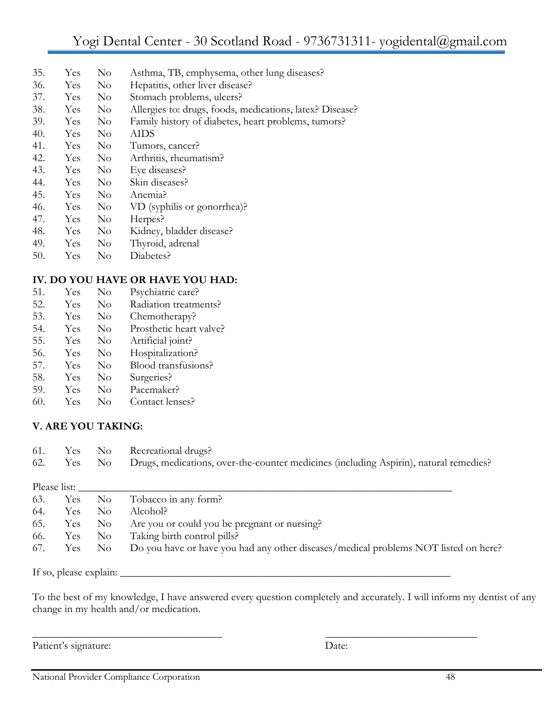|  | 35. | . Yes No |  | Asthma, TB, emphysema, other lung diseases? |
|--|-----|----------|--|---------------------------------------------|
|--|-----|----------|--|---------------------------------------------|

- 36. Yes No Hepatitis, other liver disease?
- 37. Yes No Stomach problems, ulcers?
- 38. Yes No Allergies to: drugs, foods, medications, latex? Disease?
- 39. Yes No Family history of diabetes, heart problems, tumors?
- 40. Yes No AIDS 41. Yes No Tumors, cancer?
- 42. Yes No Arthritis, rheumatism?
- 43. Yes No Eye diseases?
- 44. Yes No Skin diseases?
- 45. Yes No Anemia?
- 46. Yes No VD (syphilis or gonorrhea)?
- 47. Yes No Herpes?
- 48. Yes No Kidney, bladder disease?
- 49. Yes No Thyroid, adrenal
- 50. Yes No Diabetes?

### **IV. DO YOU HAVE OR HAVE YOU HAD:**

51. Yes No Psychiatric care? 52. Yes No Radiation treatments? 53. Yes No Chemotherapy? 54. Yes No Prosthetic heart valve? 55. Yes No Artificial joint? 56. Yes No Hospitalization? 57. Yes No Blood transfusions? 58. Yes No Surgeries? 59. Yes No Pacemaker? 60. Yes No Contact lenses?

### **V. ARE YOU TAKING:**

|  | 61. Yes No Recreational drugs?                                                                   |
|--|--------------------------------------------------------------------------------------------------|
|  | 62. Yes No Drugs, medications, over-the-counter medicines (including Aspirin), natural remedies? |

|     | Please list: |                |                                                                                     |
|-----|--------------|----------------|-------------------------------------------------------------------------------------|
| 63. |              |                | Yes No Tobacco in any form?                                                         |
| 64. | Yes          | N <sub>o</sub> | Alcohol?                                                                            |
| 65. | Yes          | $\rm No$       | Are you or could you be pregnant or nursing?                                        |
| 66. | Yes No       |                | Taking birth control pills?                                                         |
| 67. | Yes No       |                | Do you have or have you had any other diseases/medical problems NOT listed on here? |

If so, please explain:

To the best of my knowledge, I have answered every question completely and accurately. I will inform my dentist of any change in my health and/or medication.

 $\frac{1}{2}$  ,  $\frac{1}{2}$  ,  $\frac{1}{2}$  ,  $\frac{1}{2}$  ,  $\frac{1}{2}$  ,  $\frac{1}{2}$  ,  $\frac{1}{2}$  ,  $\frac{1}{2}$  ,  $\frac{1}{2}$  ,  $\frac{1}{2}$  ,  $\frac{1}{2}$  ,  $\frac{1}{2}$  ,  $\frac{1}{2}$  ,  $\frac{1}{2}$  ,  $\frac{1}{2}$  ,  $\frac{1}{2}$  ,  $\frac{1}{2}$  ,  $\frac{1}{2}$  ,  $\frac{1$ 

Patient's signature: Date: